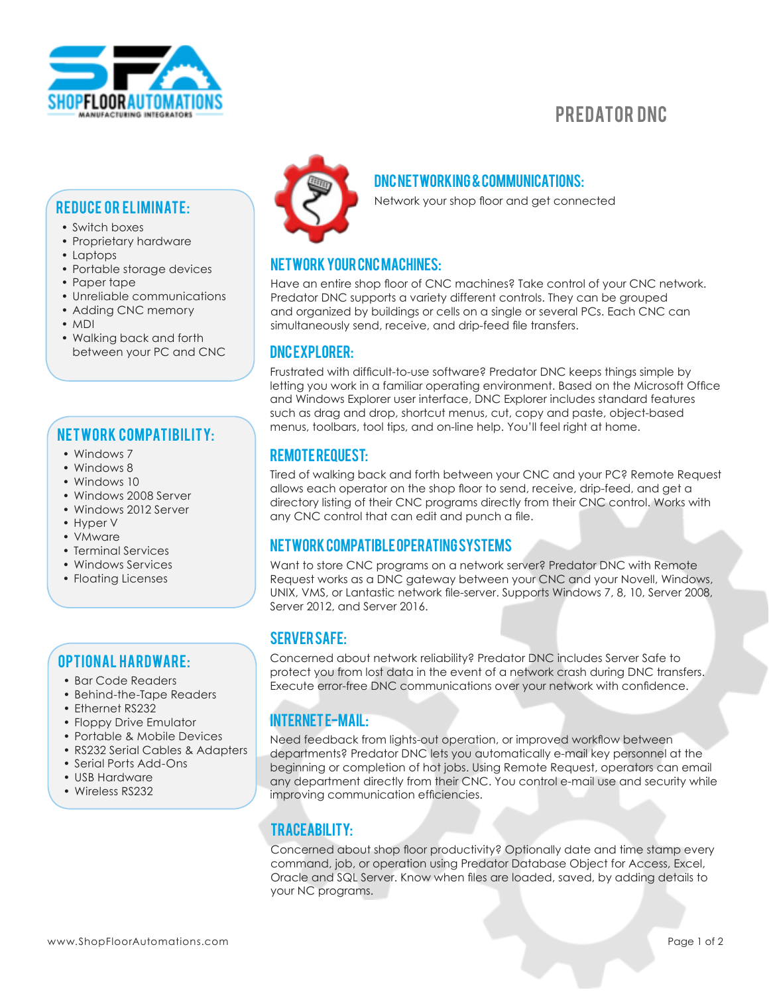

# PREDATOR DNC

## REDUCE OR ELIMINATE:

- Switch boxes
- Proprietary hardware
- Laptops
- Portable storage devices
- Paper tape
- Unreliable communications
- Adding CNC memory
- MDI
- Walking back and forth between your PC and CNC

## NETWORK COMPATIBIL ITY:

- Windows 7
- Windows 8
- Windows 10
- Windows 2008 Server
- Windows 2012 Server
- Hyper V
- VMware
- Terminal Services
- Windows Services
- Floating Licenses

## OPTIONAL HARDWARE:

- Bar Code Readers
- Behind-the-Tape Readers
- Ethernet RS232
- Floppy Drive Emulator
- Portable & Mobile Devices
- RS232 Serial Cables & Adapters
- Serial Ports Add-Ons
- USB Hardware
- Wireless RS232



#### DNC Networking & Communications:

Network your shop floor and get connected

## Network your CNC machines:

Have an entire shop floor of CNC machines? Take control of your CNC network. Predator DNC supports a variety different controls. They can be grouped and organized by buildings or cells on a single or several PCs. Each CNC can simultaneously send, receive, and drip-feed file transfers.

### DNC Explorer:

Frustrated with difficult-to-use software? Predator DNC keeps things simple by letting you work in a familiar operating environment. Based on the Microsoft Office and Windows Explorer user interface, DNC Explorer includes standard features such as drag and drop, shortcut menus, cut, copy and paste, object-based menus, toolbars, tool tips, and on-line help. You'll feel right at home.

## Remote Request:

Tired of walking back and forth between your CNC and your PC? Remote Request allows each operator on the shop floor to send, receive, drip-feed, and get a directory listing of their CNC programs directly from their CNC control. Works with any CNC control that can edit and punch a file.

#### Network Compatible Operating Systems

Want to store CNC programs on a network server? Predator DNC with Remote Request works as a DNC gateway between your CNC and your Novell, Windows, UNIX, VMS, or Lantastic network file-server. Supports Windows 7, 8, 10, Server 2008, Server 2012, and Server 2016.

## Server Safe:

Concerned about network reliability? Predator DNC includes Server Safe to protect you from lost data in the event of a network crash during DNC transfers. Execute error-free DNC communications over your network with confidence.

## Internet E-mail:

Need feedback from lights-out operation, or improved workflow between departments? Predator DNC lets you automatically e-mail key personnel at the beginning or completion of hot jobs. Using Remote Request, operators can email any department directly from their CNC. You control e-mail use and security while improving communication efficiencies.

## Traceability:

Concerned about shop floor productivity? Optionally date and time stamp every command, job, or operation using Predator Database Object for Access, Excel, Oracle and SQL Server. Know when files are loaded, saved, by adding details to your NC programs.